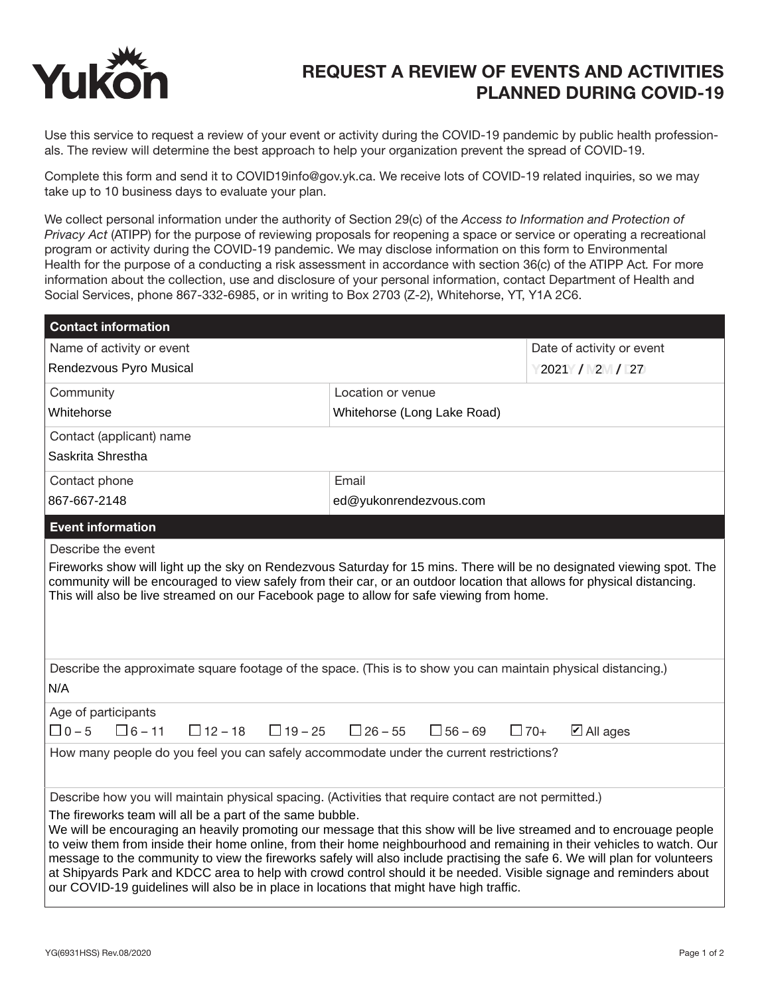

## REQUEST A REVIEW OF EVENTS AND ACTIVITIES PLANNED DURING COVID-19

Use this service to request a review of your event or activity during the COVID-19 pandemic by public health professionals. The review will determine the best approach to help your organization prevent the spread of COVID-19.

Complete this form and send it to COVID19info@gov.yk.ca. We receive lots of COVID-19 related inquiries, so we may take up to 10 business days to evaluate your plan.

We collect personal information under the authority of Section 29(c) of the *Access to Information and Protection of Privacy Act* (ATIPP) for the purpose of reviewing proposals for reopening a space or service or operating a recreational program or activity during the COVID-19 pandemic. We may disclose information on this form to Environmental Health for the purpose of a conducting a risk assessment in accordance with section 36(c) of the ATIPP Act*.* For more information about the collection, use and disclosure of your personal information, contact Department of Health and Social Services, phone 867-332-6985, or in writing to Box 2703 (Z-2), Whitehorse, YT, Y1A 2C6.

| <b>Contact information</b>                                                                                                                                                                                                                                                                                                                                                                                                                                                                                                                                                                                                                                    |                                  |                                    |
|---------------------------------------------------------------------------------------------------------------------------------------------------------------------------------------------------------------------------------------------------------------------------------------------------------------------------------------------------------------------------------------------------------------------------------------------------------------------------------------------------------------------------------------------------------------------------------------------------------------------------------------------------------------|----------------------------------|------------------------------------|
| Name of activity or event                                                                                                                                                                                                                                                                                                                                                                                                                                                                                                                                                                                                                                     |                                  | Date of activity or event          |
| Rendezvous Pyro Musical                                                                                                                                                                                                                                                                                                                                                                                                                                                                                                                                                                                                                                       |                                  | 2021 / 2 / 27                      |
| Community                                                                                                                                                                                                                                                                                                                                                                                                                                                                                                                                                                                                                                                     | Location or venue                |                                    |
| Whitehorse                                                                                                                                                                                                                                                                                                                                                                                                                                                                                                                                                                                                                                                    | Whitehorse (Long Lake Road)      |                                    |
| Contact (applicant) name                                                                                                                                                                                                                                                                                                                                                                                                                                                                                                                                                                                                                                      |                                  |                                    |
| Saskrita Shrestha                                                                                                                                                                                                                                                                                                                                                                                                                                                                                                                                                                                                                                             |                                  |                                    |
| Contact phone                                                                                                                                                                                                                                                                                                                                                                                                                                                                                                                                                                                                                                                 | Email                            |                                    |
| 867-667-2148                                                                                                                                                                                                                                                                                                                                                                                                                                                                                                                                                                                                                                                  | ed@yukonrendezvous.com           |                                    |
| <b>Event information</b>                                                                                                                                                                                                                                                                                                                                                                                                                                                                                                                                                                                                                                      |                                  |                                    |
| Describe the event                                                                                                                                                                                                                                                                                                                                                                                                                                                                                                                                                                                                                                            |                                  |                                    |
| community will be encouraged to view safely from their car, or an outdoor location that allows for physical distancing.<br>This will also be live streamed on our Facebook page to allow for safe viewing from home.                                                                                                                                                                                                                                                                                                                                                                                                                                          |                                  |                                    |
| Describe the approximate square footage of the space. (This is to show you can maintain physical distancing.)<br>N/A                                                                                                                                                                                                                                                                                                                                                                                                                                                                                                                                          |                                  |                                    |
| Age of participants                                                                                                                                                                                                                                                                                                                                                                                                                                                                                                                                                                                                                                           |                                  |                                    |
| $\Box$ 0 – 5<br>$\Box$ 6 – 11<br>$\Box$ 12 – 18<br>$\Box$ 19 – 25                                                                                                                                                                                                                                                                                                                                                                                                                                                                                                                                                                                             | $\Box$ 26 – 55<br>$\Box$ 56 – 69 | $\boxtimes$ All ages<br>$\Box$ 70+ |
| How many people do you feel you can safely accommodate under the current restrictions?                                                                                                                                                                                                                                                                                                                                                                                                                                                                                                                                                                        |                                  |                                    |
| Describe how you will maintain physical spacing. (Activities that require contact are not permitted.)                                                                                                                                                                                                                                                                                                                                                                                                                                                                                                                                                         |                                  |                                    |
| The fireworks team will all be a part of the same bubble.<br>We will be encouraging an heavily promoting our message that this show will be live streamed and to encrouage people<br>to veiw them from inside their home online, from their home neighbourhood and remaining in their vehicles to watch. Our<br>message to the community to view the fireworks safely will also include practising the safe 6. We will plan for volunteers<br>at Shipyards Park and KDCC area to help with crowd control should it be needed. Visible signage and reminders about<br>our COVID-19 guidelines will also be in place in locations that might have high traffic. |                                  |                                    |